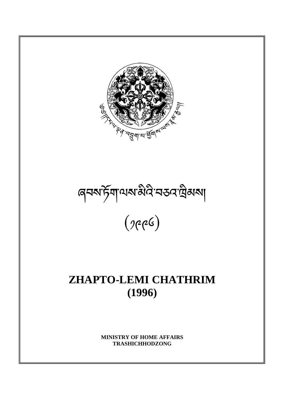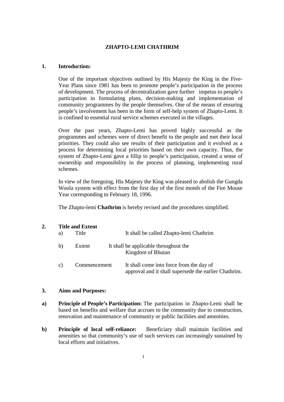# **ZHAPTO-LEMI CHATHRIM**

## **1. Introduction:**

One of the important objectives outlined by His Majesty the King in the Five-Year Plans since 1981 has been to promote people's participation in the process of development. The process of decentralization gave further impetus to people's participation in formulating plans, decision-making and implementation of community programmes by the people themselves. One of the means of ensuring people's involvement has been in the form of self-help system of Zhapto-Lemi. It is confined to essential rural service schemes executed in the villages.

Over the past years, Zhapto-Lemi has proved highly successful as the programmes and schemes were of direct benefit to the people and met their local priorities. They could also see results of their participation and it evolved as a process for determining local priorities based on their own capacity. Thus, the system of Zhapto-Lemi gave a fillip to people's participation, created a sense of ownership and responsibility in the process of planning, implementing rural schemes.

In view of the foregoing, His Majesty the King was pleased to abolish the Gungda Woola system with effect from the first day of the first month of the Fire Mouse Year corresponding to February 18, 1996.

The Zhapto-lemi **Chathrim** is hereby revised and the procedures simplified.

|  |    | <b>Title and Extent</b> |                                                                                                   |  |
|--|----|-------------------------|---------------------------------------------------------------------------------------------------|--|
|  | a) | Title                   | It shall be called Zhapto-lemi Chathrim                                                           |  |
|  | b) | Extent                  | It shall be applicable throughout the<br>Kingdom of Bhutan                                        |  |
|  | C) | Commencement            | It shall come into force from the day of<br>approval and it shall supersede the earlier Chathrim. |  |

#### **3. Aims and Purposes:**

- **a) Principle of People's Participation:** The participation in Zhapto-Lemi shall be based on benefits and welfare that accrues to the community due to construction, renovation and maintenance of community or public facilities and amenities.
- **b)** Principle of local self-reliance: Beneficiary shall maintain facilities and amenities so that community's use of such services can increasingly sustained by local efforts and initiatives.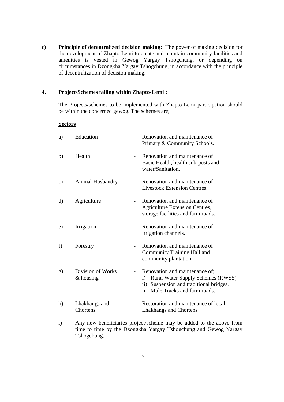**c) Principle of decentralized decision making:** The power of making decision for the development of Zhapto-Lemi to create and maintain community facilities and amenities is vested in Gewog Yargay Tshogchung, or depending on circumstances in Dzongkha Yargay Tshogchung, in accordance with the principle of decentralization of decision making.

# **4. Project/Schemes falling within Zhapto-Lemi :**

The Projects/schemes to be implemented with Zhapto-Lemi participation should be within the concerned gewog. The schemes are;

## **Sectors**

| a)       | Education                        |                | Renovation and maintenance of<br>Primary & Community Schools.                                                                                                             |
|----------|----------------------------------|----------------|---------------------------------------------------------------------------------------------------------------------------------------------------------------------------|
| b)       | Health                           |                | Renovation and maintenance of<br>Basic Health, health sub-posts and<br>water/Sanitation.                                                                                  |
| c)       | Animal Husbandry                 |                | Renovation and maintenance of<br><b>Livestock Extension Centres.</b>                                                                                                      |
| $\rm d)$ | Agriculture                      |                | Renovation and maintenance of<br>Agriculture Extension Centres,<br>storage facilities and farm roads.                                                                     |
| e)       | Irrigation                       | $\blacksquare$ | Renovation and maintenance of<br>irrigation channels.                                                                                                                     |
| f)       | Forestry                         |                | Renovation and maintenance of<br>Community Training Hall and<br>community plantation.                                                                                     |
| g)       | Division of Works<br>$&$ housing | $\blacksquare$ | Renovation and maintenance of;<br><b>Rural Water Supply Schemes (RWSS)</b><br>$\mathbf{i}$<br>ii) Suspension and traditional bridges.<br>iii) Mule Tracks and farm roads. |
| h)       | Lhakhangs and<br>Chortens        |                | Restoration and maintenance of local<br>Lhakhangs and Chortens                                                                                                            |

i) Any new beneficiaries project/scheme may be added to the above from time to time by the Dzongkha Yargay Tshogchung and Gewog Yargay Tshogchung.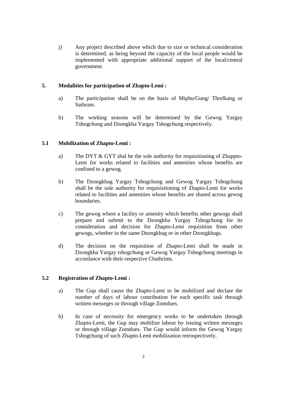j) Any project described above which due to size or technical consideration is determined, as being beyond the capacity of the local people would be implemented with appropriate additional support of the local/central government.

## **5. Modalities for participation of Zhapto-Lemi :**

- a) The participation shall be on the basis of Miphu/Gung/ Threlkang or Sathram.
- b) The working seasons will be determined by the Gewog Yargay Tshogchung and Dzongkha Yargay Tshogchung respectively.

## **5.1 Mobilization of Zhapto-Lemi :**

- a) The DYT & GYT shal be the sole authority for requisitioning of Zhappto-Lemi for works related to facilities and amenities whose benefits are confined to a gewog.
- b) The Dzongkhag Yargay Tshogchung and Gewog Yargay Tshogchung shall be the sole authority for requisistioning of Zhapto-Lemi for works related to facilities and amenities whose benefits are shared across gewog boundaries.
- c) The gewog where a facility or amenity which benefits other gewogs shall prepare and submit to the Dzongkha Yargay Tshogchung for its consideration and decision for Zhapto-Lemi requisition from other gewogs, whether in the same Dzongkhag or in other Dzongkhags.
- d) The decision on the requisition of Zhapto-Lemi shall be made in Dzongkha Yargay tshogchung or Gewog Yargay Tshogchung meetings in accordance with their respective Chathrims.

#### **5.2 Registration of Zhapto-Lemi :**

- a) The Gup shall cause the Zhapto-Lemi to be mobilized and declare the number of days of labour contribution for each specific task through written messeges or through village Zomdues.
- b) In case of necessity for emergency works to be undertaken through Zhapto-Lemi, the Gup may mobilize labour by issuing written messeges or through village Zomdues. The Gup would inform the Gewog Yargay Tshogchung of such Zhapto-Lemi mobilization retrospectively.